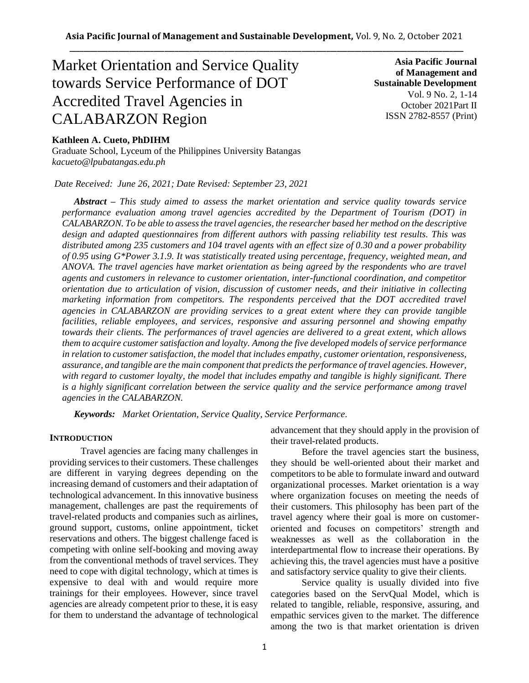# Market Orientation and Service Quality towards Service Performance of DOT Accredited Travel Agencies in CALABARZON Region

**of Management and Sustainable Development**  Vol. 9 No. 2, 1-14 October 2021Part II ISSN 2782-8557 (Print)

**Asia Pacific Journal** 

# **Kathleen A. Cueto, PhDIHM**

Graduate School, Lyceum of the Philippines University Batangas *kacueto@lpubatangas.edu.ph*

*Date Received: June 26, 2021; Date Revised: September 23, 2021*

*Abstract – This study aimed to assess the market orientation and service quality towards service performance evaluation among travel agencies accredited by the Department of Tourism (DOT) in CALABARZON. To be able to assess the travel agencies, the researcher based her method on the descriptive design and adapted questionnaires from different authors with passing reliability test results. This was distributed among 235 customers and 104 travel agents with an effect size of 0.30 and a power probability of 0.95 using G\*Power 3.1.9. It was statistically treated using percentage, frequency, weighted mean, and ANOVA. The travel agencies have market orientation as being agreed by the respondents who are travel agents and customers in relevance to customer orientation, inter-functional coordination, and competitor orientation due to articulation of vision, discussion of customer needs, and their initiative in collecting marketing information from competitors. The respondents perceived that the DOT accredited travel agencies in CALABARZON are providing services to a great extent where they can provide tangible facilities, reliable employees, and services, responsive and assuring personnel and showing empathy towards their clients. The performances of travel agencies are delivered to a great extent, which allows them to acquire customer satisfaction and loyalty. Among the five developed models of service performance in relation to customer satisfaction, the model that includes empathy, customer orientation, responsiveness, assurance, and tangible are the main component that predicts the performance of travel agencies. However, with regard to customer loyalty, the model that includes empathy and tangible is highly significant. There is a highly significant correlation between the service quality and the service performance among travel agencies in the CALABARZON.*

*Keywords: Market Orientation, Service Quality, Service Performance.* 

#### **INTRODUCTION**

Travel agencies are facing many challenges in providing services to their customers. These challenges are different in varying degrees depending on the increasing demand of customers and their adaptation of technological advancement. In this innovative business management, challenges are past the requirements of travel-related products and companies such as airlines, ground support, customs, online appointment, ticket reservations and others. The biggest challenge faced is competing with online self-booking and moving away from the conventional methods of travel services. They need to cope with digital technology, which at times is expensive to deal with and would require more trainings for their employees. However, since travel agencies are already competent prior to these, it is easy for them to understand the advantage of technological advancement that they should apply in the provision of their travel-related products.

Before the travel agencies start the business, they should be well-oriented about their market and competitors to be able to formulate inward and outward organizational processes. Market orientation is a way where organization focuses on meeting the needs of their customers. This philosophy has been part of the travel agency where their goal is more on customeroriented and focuses on competitors' strength and weaknesses as well as the collaboration in the interdepartmental flow to increase their operations. By achieving this, the travel agencies must have a positive and satisfactory service quality to give their clients.

Service quality is usually divided into five categories based on the ServQual Model, which is related to tangible, reliable, responsive, assuring, and empathic services given to the market. The difference among the two is that market orientation is driven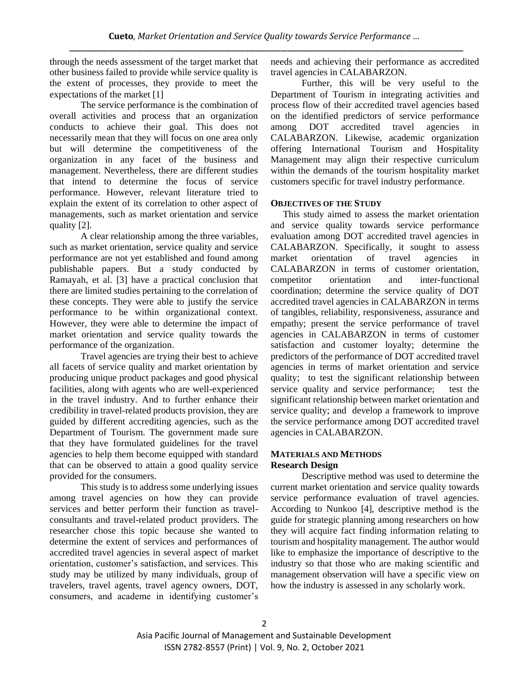through the needs assessment of the target market that other business failed to provide while service quality is the extent of processes, they provide to meet the expectations of the market [1]

The service performance is the combination of overall activities and process that an organization conducts to achieve their goal. This does not necessarily mean that they will focus on one area only but will determine the competitiveness of the organization in any facet of the business and management. Nevertheless, there are different studies that intend to determine the focus of service performance. However, relevant literature tried to explain the extent of its correlation to other aspect of managements, such as market orientation and service quality [2].

A clear relationship among the three variables, such as market orientation, service quality and service performance are not yet established and found among publishable papers. But a study conducted by Ramayah, et al. [3] have a practical conclusion that there are limited studies pertaining to the correlation of these concepts. They were able to justify the service performance to be within organizational context. However, they were able to determine the impact of market orientation and service quality towards the performance of the organization.

Travel agencies are trying their best to achieve all facets of service quality and market orientation by producing unique product packages and good physical facilities, along with agents who are well-experienced in the travel industry. And to further enhance their credibility in travel-related products provision, they are guided by different accrediting agencies, such as the Department of Tourism. The government made sure that they have formulated guidelines for the travel agencies to help them become equipped with standard that can be observed to attain a good quality service provided for the consumers.

This study is to address some underlying issues among travel agencies on how they can provide services and better perform their function as travelconsultants and travel-related product providers. The researcher chose this topic because she wanted to determine the extent of services and performances of accredited travel agencies in several aspect of market orientation, customer's satisfaction, and services. This study may be utilized by many individuals, group of travelers, travel agents, travel agency owners, DOT, consumers, and academe in identifying customer's needs and achieving their performance as accredited travel agencies in CALABARZON.

Further, this will be very useful to the Department of Tourism in integrating activities and process flow of their accredited travel agencies based on the identified predictors of service performance among DOT accredited travel agencies in CALABARZON. Likewise, academic organization offering International Tourism and Hospitality Management may align their respective curriculum within the demands of the tourism hospitality market customers specific for travel industry performance.

### **OBJECTIVES OF THE STUDY**

This study aimed to assess the market orientation and service quality towards service performance evaluation among DOT accredited travel agencies in CALABARZON. Specifically, it sought to assess market orientation of travel agencies in CALABARZON in terms of customer orientation, competitor orientation and inter-functional coordination; determine the service quality of DOT accredited travel agencies in CALABARZON in terms of tangibles, reliability, responsiveness, assurance and empathy; present the service performance of travel agencies in CALABARZON in terms of customer satisfaction and customer loyalty; determine the predictors of the performance of DOT accredited travel agencies in terms of market orientation and service quality; to test the significant relationship between service quality and service performance; test the significant relationship between market orientation and service quality; and develop a framework to improve the service performance among DOT accredited travel agencies in CALABARZON.

### **MATERIALS AND METHODS Research Design**

Descriptive method was used to determine the current market orientation and service quality towards service performance evaluation of travel agencies. According to Nunkoo [4], descriptive method is the guide for strategic planning among researchers on how they will acquire fact finding information relating to tourism and hospitality management. The author would like to emphasize the importance of descriptive to the industry so that those who are making scientific and management observation will have a specific view on how the industry is assessed in any scholarly work.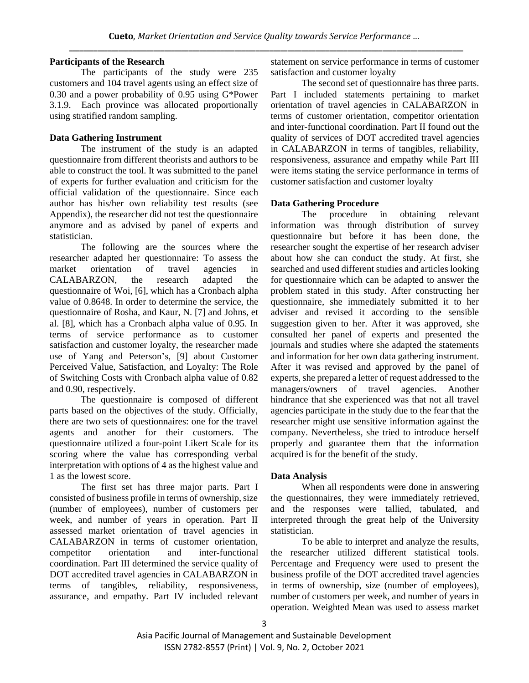### **Participants of the Research**

The participants of the study were 235 customers and 104 travel agents using an effect size of 0.30 and a power probability of 0.95 using G\*Power 3.1.9. Each province was allocated proportionally using stratified random sampling.

# **Data Gathering Instrument**

The instrument of the study is an adapted questionnaire from different theorists and authors to be able to construct the tool. It was submitted to the panel of experts for further evaluation and criticism for the official validation of the questionnaire. Since each author has his/her own reliability test results (see Appendix), the researcher did not test the questionnaire anymore and as advised by panel of experts and statistician.

The following are the sources where the researcher adapted her questionnaire: To assess the market orientation of travel agencies in CALABARZON, the research adapted the questionnaire of Woi, [6], which has a Cronbach alpha value of 0.8648. In order to determine the service, the questionnaire of Rosha, and Kaur, N. [7] and Johns, et al. [8], which has a Cronbach alpha value of 0.95. In terms of service performance as to customer satisfaction and customer loyalty, the researcher made use of Yang and Peterson's, [9] about Customer Perceived Value, Satisfaction, and Loyalty: The Role of Switching Costs with Cronbach alpha value of 0.82 and 0.90, respectively.

The questionnaire is composed of different parts based on the objectives of the study. Officially, there are two sets of questionnaires: one for the travel agents and another for their customers. The questionnaire utilized a four-point Likert Scale for its scoring where the value has corresponding verbal interpretation with options of 4 as the highest value and 1 as the lowest score.

The first set has three major parts. Part I consisted of business profile in terms of ownership, size (number of employees), number of customers per week, and number of years in operation. Part II assessed market orientation of travel agencies in CALABARZON in terms of customer orientation, competitor orientation and inter-functional coordination. Part III determined the service quality of DOT accredited travel agencies in CALABARZON in terms of tangibles, reliability, responsiveness, assurance, and empathy. Part IV included relevant

statement on service performance in terms of customer satisfaction and customer loyalty

The second set of questionnaire has three parts. Part I included statements pertaining to market orientation of travel agencies in CALABARZON in terms of customer orientation, competitor orientation and inter-functional coordination. Part II found out the quality of services of DOT accredited travel agencies in CALABARZON in terms of tangibles, reliability, responsiveness, assurance and empathy while Part III were items stating the service performance in terms of customer satisfaction and customer loyalty

# **Data Gathering Procedure**

The procedure in obtaining relevant information was through distribution of survey questionnaire but before it has been done, the researcher sought the expertise of her research adviser about how she can conduct the study. At first, she searched and used different studies and articles looking for questionnaire which can be adapted to answer the problem stated in this study. After constructing her questionnaire, she immediately submitted it to her adviser and revised it according to the sensible suggestion given to her. After it was approved, she consulted her panel of experts and presented the journals and studies where she adapted the statements and information for her own data gathering instrument. After it was revised and approved by the panel of experts, she prepared a letter of request addressed to the managers/owners of travel agencies. Another hindrance that she experienced was that not all travel agencies participate in the study due to the fear that the researcher might use sensitive information against the company. Nevertheless, she tried to introduce herself properly and guarantee them that the information acquired is for the benefit of the study.

## **Data Analysis**

When all respondents were done in answering the questionnaires, they were immediately retrieved, and the responses were tallied, tabulated, and interpreted through the great help of the University statistician.

To be able to interpret and analyze the results, the researcher utilized different statistical tools. Percentage and Frequency were used to present the business profile of the DOT accredited travel agencies in terms of ownership, size (number of employees), number of customers per week, and number of years in operation. Weighted Mean was used to assess market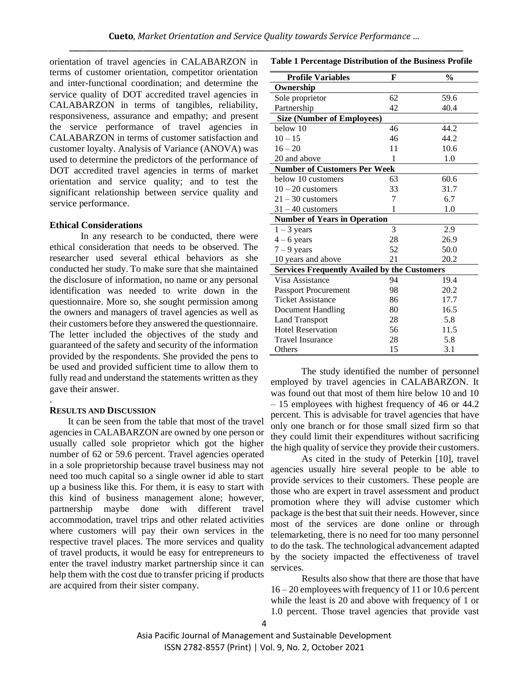orientation of travel agencies in CALABARZON in terms of customer orientation, competitor orientation and inter-functional coordination; and determine the service quality of DOT accredited travel agencies in CALABARZON in terms of tangibles, reliability, responsiveness, assurance and empathy; and present the service performance of travel agencies in CALABARZON in terms of customer satisfaction and customer loyalty. Analysis of Variance (ANOVA) was used to determine the predictors of the performance of DOT accredited travel agencies in terms of market orientation and service quality; and to test the significant relationship between service quality and service performance.

#### **Ethical Considerations**

In any research to be conducted, there were ethical consideration that needs to be observed. The researcher used several ethical behaviors as she conducted her study. To make sure that she maintained the disclosure of information, no name or any personal identification was needed to write down in the questionnaire. More so, she sought permission among the owners and managers of travel agencies as well as their customers before they answered the questionnaire. The letter included the objectives of the study and guaranteed of the safety and security of the information provided by the respondents. She provided the pens to be used and provided sufficient time to allow them to fully read and understand the statements written as they gave their answer.

#### **RESULTS AND DISCUSSION**

.

It can be seen from the table that most of the travel agencies in CALABARZON are owned by one person or usually called sole proprietor which got the higher number of 62 or 59.6 percent. Travel agencies operated in a sole proprietorship because travel business may not need too much capital so a single owner id able to start up a business like this. For them, it is easy to start with this kind of business management alone; however, partnership maybe done with different travel accommodation, travel trips and other related activities where customers will pay their own services in the respective travel places. The more services and quality of travel products, it would be easy for entrepreneurs to enter the travel industry market partnership since it can help them with the cost due to transfer pricing if products are acquired from their sister company.

**Table 1 Percentage Distribution of the Business Profile**

| <b>Profile Variables</b>                            | F  | $\frac{0}{0}$ |
|-----------------------------------------------------|----|---------------|
| Ownership                                           |    |               |
| Sole proprietor                                     | 62 | 59.6          |
| Partnership                                         | 42 | 40.4          |
| <b>Size (Number of Employees)</b>                   |    |               |
| below 10                                            | 46 | 44.2          |
| $10 - 15$                                           | 46 | 44.2          |
| $16 - 20$                                           | 11 | 10.6          |
| 20 and above                                        | 1  | 1.0           |
| <b>Number of Customers Per Week</b>                 |    |               |
| below 10 customers                                  | 63 | 60.6          |
| $10 - 20$ customers                                 | 33 | 31.7          |
| $21 - 30$ customers                                 | 7  | 6.7           |
| $31 - 40$ customers                                 | 1  | 1.0           |
| <b>Number of Years in Operation</b>                 |    |               |
| $1 - 3$ years                                       | 3  | 2.9           |
| $4 - 6$ years                                       | 28 | 26.9          |
| $7 - 9$ years                                       | 52 | 50.0          |
| 10 years and above                                  | 21 | 20.2          |
| <b>Services Frequently Availed by the Customers</b> |    |               |
| Visa Assistance                                     | 94 | 19.4          |
| <b>Passport Procurement</b>                         | 98 | 20.2          |
| <b>Ticket Assistance</b>                            | 86 | 17.7          |
| Document Handling                                   | 80 | 16.5          |
| <b>Land Transport</b>                               | 28 | 5.8           |
| <b>Hotel Reservation</b>                            | 56 | 11.5          |
| Travel Insurance                                    | 28 | 5.8           |
| Others                                              | 15 | 3.1           |

The study identified the number of personnel employed by travel agencies in CALABARZON. It was found out that most of them hire below 10 and 10 – 15 employees with highest frequency of 46 or 44.2 percent. This is advisable for travel agencies that have only one branch or for those small sized firm so that they could limit their expenditures without sacrificing the high quality of service they provide their customers.

As cited in the study of Peterkin [10], travel agencies usually hire several people to be able to provide services to their customers. These people are those who are expert in travel assessment and product promotion where they will advise customer which package is the best that suit their needs. However, since most of the services are done online or through telemarketing, there is no need for too many personnel to do the task. The technological advancement adapted by the society impacted the effectiveness of travel services.

Results also show that there are those that have 16 – 20 employees with frequency of 11 or 10.6 percent while the least is 20 and above with frequency of 1 or 1.0 percent. Those travel agencies that provide vast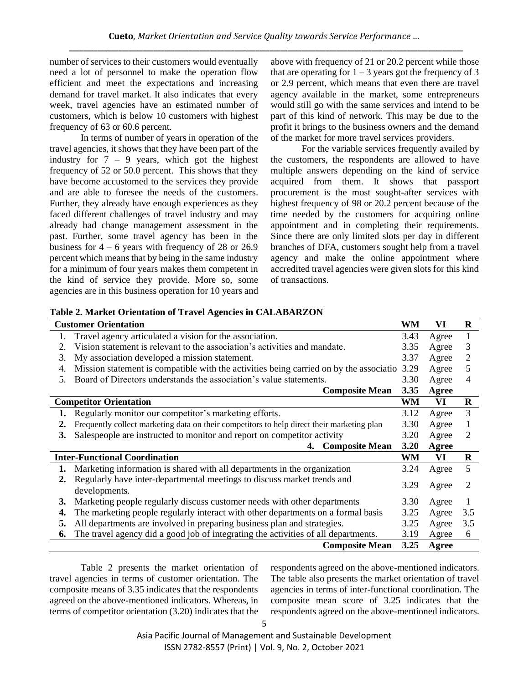number of services to their customers would eventually need a lot of personnel to make the operation flow efficient and meet the expectations and increasing demand for travel market. It also indicates that every week, travel agencies have an estimated number of customers, which is below 10 customers with highest frequency of 63 or 60.6 percent.

In terms of number of years in operation of the travel agencies, it shows that they have been part of the industry for  $7 - 9$  years, which got the highest frequency of 52 or 50.0 percent. This shows that they have become accustomed to the services they provide and are able to foresee the needs of the customers. Further, they already have enough experiences as they faced different challenges of travel industry and may already had change management assessment in the past. Further, some travel agency has been in the business for  $4 - 6$  years with frequency of 28 or 26.9 percent which means that by being in the same industry for a minimum of four years makes them competent in the kind of service they provide. More so, some agencies are in this business operation for 10 years and above with frequency of 21 or 20.2 percent while those that are operating for  $1 - 3$  years got the frequency of 3 or 2.9 percent, which means that even there are travel agency available in the market, some entrepreneurs would still go with the same services and intend to be part of this kind of network. This may be due to the profit it brings to the business owners and the demand of the market for more travel services providers.

For the variable services frequently availed by the customers, the respondents are allowed to have multiple answers depending on the kind of service acquired from them. It shows that passport procurement is the most sought-after services with highest frequency of 98 or 20.2 percent because of the time needed by the customers for acquiring online appointment and in completing their requirements. Since there are only limited slots per day in different branches of DFA, customers sought help from a travel agency and make the online appointment where accredited travel agencies were given slots for this kind of transactions.

**Table 2. Market Orientation of Travel Agencies in CALABARZON** 

|    | Table 2. Market Orientation of Travel Agencies in Camabian Do<br><b>Customer Orientation</b> | WM   | VI    | $\bf{R}$ |
|----|----------------------------------------------------------------------------------------------|------|-------|----------|
| 1. | Travel agency articulated a vision for the association.                                      | 3.43 | Agree | 1        |
| 2. | Vision statement is relevant to the association's activities and mandate.                    | 3.35 | Agree | 3        |
| 3. | My association developed a mission statement.                                                | 3.37 | Agree | 2        |
| 4. | Mission statement is compatible with the activities being carried on by the associatio       | 3.29 | Agree | 5        |
| 5. | Board of Directors understands the association's value statements.                           | 3.30 | Agree | 4        |
|    | <b>Composite Mean</b>                                                                        | 3.35 | Agree |          |
|    | <b>Competitor Orientation</b>                                                                | WM   | VI    | $\bf R$  |
|    | Regularly monitor our competitor's marketing efforts.                                        | 3.12 | Agree | 3        |
| 2. | Frequently collect marketing data on their competitors to help direct their marketing plan   | 3.30 | Agree | 1        |
| 3. | Salespeople are instructed to monitor and report on competitor activity                      | 3.20 | Agree | 2        |
|    | <b>Composite Mean</b><br>4.                                                                  | 3.20 | Agree |          |
|    | <b>Inter-Functional Coordination</b>                                                         | WM   | VI    | $\bf R$  |
| 1. | Marketing information is shared with all departments in the organization                     | 3.24 | Agree | 5        |
| 2. | Regularly have inter-departmental meetings to discuss market trends and<br>developments.     | 3.29 | Agree | 2        |
| 3. | Marketing people regularly discuss customer needs with other departments                     | 3.30 | Agree |          |
| 4. | The marketing people regularly interact with other departments on a formal basis             | 3.25 | Agree | 3.5      |
| 5. | All departments are involved in preparing business plan and strategies.                      | 3.25 | Agree | 3.5      |
| 6. | The travel agency did a good job of integrating the activities of all departments.           | 3.19 | Agree | 6        |
|    | <b>Composite Mean</b>                                                                        | 3.25 | Agree |          |

Table 2 presents the market orientation of travel agencies in terms of customer orientation. The composite means of 3.35 indicates that the respondents agreed on the above-mentioned indicators. Whereas, in terms of competitor orientation (3.20) indicates that the respondents agreed on the above-mentioned indicators. The table also presents the market orientation of travel agencies in terms of inter-functional coordination. The composite mean score of 3.25 indicates that the respondents agreed on the above-mentioned indicators.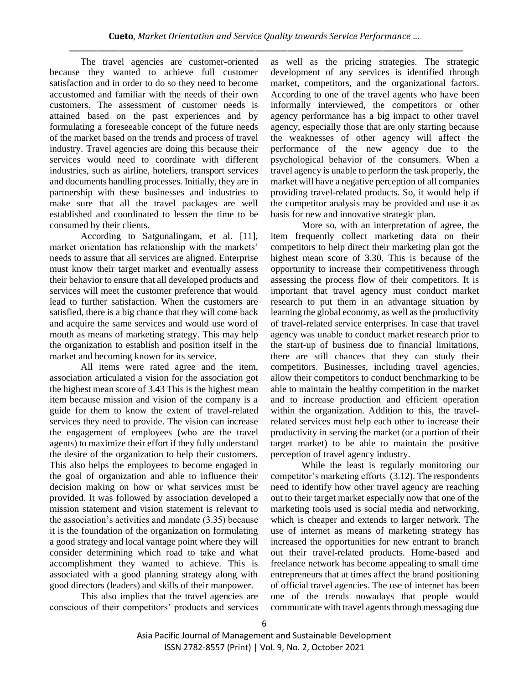The travel agencies are customer-oriented because they wanted to achieve full customer satisfaction and in order to do so they need to become accustomed and familiar with the needs of their own customers. The assessment of customer needs is attained based on the past experiences and by formulating a foreseeable concept of the future needs of the market based on the trends and process of travel industry. Travel agencies are doing this because their services would need to coordinate with different industries, such as airline, hoteliers, transport services and documents handling processes. Initially, they are in partnership with these businesses and industries to make sure that all the travel packages are well established and coordinated to lessen the time to be consumed by their clients.

According to Satgunalingam, et al. [11], market orientation has relationship with the markets' needs to assure that all services are aligned. Enterprise must know their target market and eventually assess their behavior to ensure that all developed products and services will meet the customer preference that would lead to further satisfaction. When the customers are satisfied, there is a big chance that they will come back and acquire the same services and would use word of mouth as means of marketing strategy. This may help the organization to establish and position itself in the market and becoming known for its service.

All items were rated agree and the item, association articulated a vision for the association got the highest mean score of 3.43 This is the highest mean item because mission and vision of the company is a guide for them to know the extent of travel-related services they need to provide. The vision can increase the engagement of employees (who are the travel agents) to maximize their effort if they fully understand the desire of the organization to help their customers. This also helps the employees to become engaged in the goal of organization and able to influence their decision making on how or what services must be provided. It was followed by association developed a mission statement and vision statement is relevant to the association's activities and mandate (3.35) because it is the foundation of the organization on formulating a good strategy and local vantage point where they will consider determining which road to take and what accomplishment they wanted to achieve. This is associated with a good planning strategy along with good directors (leaders) and skills of their manpower.

This also implies that the travel agencies are conscious of their competitors' products and services as well as the pricing strategies. The strategic development of any services is identified through market, competitors, and the organizational factors. According to one of the travel agents who have been informally interviewed, the competitors or other agency performance has a big impact to other travel agency, especially those that are only starting because the weaknesses of other agency will affect the performance of the new agency due to the psychological behavior of the consumers. When a travel agency is unable to perform the task properly, the market will have a negative perception of all companies providing travel-related products. So, it would help if the competitor analysis may be provided and use it as basis for new and innovative strategic plan.

More so, with an interpretation of agree, the item frequently collect marketing data on their competitors to help direct their marketing plan got the highest mean score of 3.30. This is because of the opportunity to increase their competitiveness through assessing the process flow of their competitors. It is important that travel agency must conduct market research to put them in an advantage situation by learning the global economy, as well as the productivity of travel-related service enterprises. In case that travel agency was unable to conduct market research prior to the start-up of business due to financial limitations, there are still chances that they can study their competitors. Businesses, including travel agencies, allow their competitors to conduct benchmarking to be able to maintain the healthy competition in the market and to increase production and efficient operation within the organization. Addition to this, the travelrelated services must help each other to increase their productivity in serving the market (or a portion of their target market) to be able to maintain the positive perception of travel agency industry.

While the least is regularly monitoring our competitor's marketing efforts (3.12). The respondents need to identify how other travel agency are reaching out to their target market especially now that one of the marketing tools used is social media and networking, which is cheaper and extends to larger network. The use of internet as means of marketing strategy has increased the opportunities for new entrant to branch out their travel-related products. Home-based and freelance network has become appealing to small time entrepreneurs that at times affect the brand positioning of official travel agencies. The use of internet has been one of the trends nowadays that people would communicate with travel agents through messaging due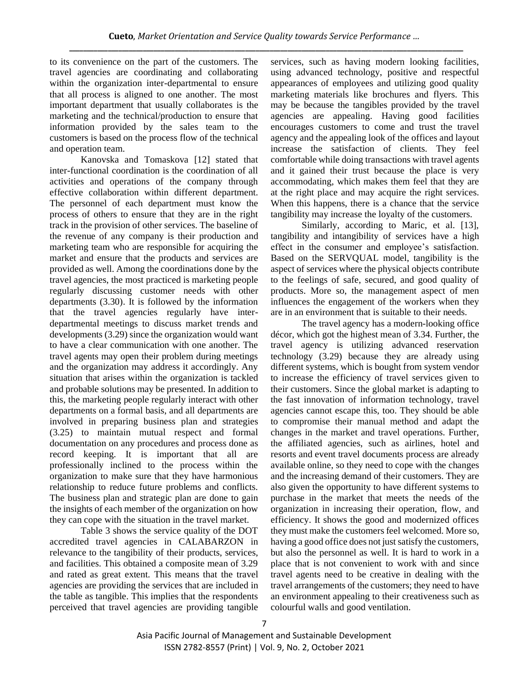to its convenience on the part of the customers. The travel agencies are coordinating and collaborating within the organization inter-departmental to ensure that all process is aligned to one another. The most important department that usually collaborates is the marketing and the technical/production to ensure that information provided by the sales team to the customers is based on the process flow of the technical and operation team.

Kanovska and Tomaskova [12] stated that inter-functional coordination is the coordination of all activities and operations of the company through effective collaboration within different department. The personnel of each department must know the process of others to ensure that they are in the right track in the provision of other services. The baseline of the revenue of any company is their production and marketing team who are responsible for acquiring the market and ensure that the products and services are provided as well. Among the coordinations done by the travel agencies, the most practiced is marketing people regularly discussing customer needs with other departments (3.30). It is followed by the information that the travel agencies regularly have interdepartmental meetings to discuss market trends and developments (3.29) since the organization would want to have a clear communication with one another. The travel agents may open their problem during meetings and the organization may address it accordingly. Any situation that arises within the organization is tackled and probable solutions may be presented. In addition to this, the marketing people regularly interact with other departments on a formal basis, and all departments are involved in preparing business plan and strategies (3.25) to maintain mutual respect and formal documentation on any procedures and process done as record keeping. It is important that all are professionally inclined to the process within the organization to make sure that they have harmonious relationship to reduce future problems and conflicts. The business plan and strategic plan are done to gain the insights of each member of the organization on how they can cope with the situation in the travel market.

Table 3 shows the service quality of the DOT accredited travel agencies in CALABARZON in relevance to the tangibility of their products, services, and facilities. This obtained a composite mean of 3.29 and rated as great extent. This means that the travel agencies are providing the services that are included in the table as tangible. This implies that the respondents perceived that travel agencies are providing tangible services, such as having modern looking facilities, using advanced technology, positive and respectful appearances of employees and utilizing good quality marketing materials like brochures and flyers. This may be because the tangibles provided by the travel agencies are appealing. Having good facilities encourages customers to come and trust the travel agency and the appealing look of the offices and layout increase the satisfaction of clients. They feel comfortable while doing transactions with travel agents and it gained their trust because the place is very accommodating, which makes them feel that they are at the right place and may acquire the right services. When this happens, there is a chance that the service tangibility may increase the loyalty of the customers.

Similarly, according to Maric, et al. [13], tangibility and intangibility of services have a high effect in the consumer and employee's satisfaction. Based on the SERVQUAL model, tangibility is the aspect of services where the physical objects contribute to the feelings of safe, secured, and good quality of products. More so, the management aspect of men influences the engagement of the workers when they are in an environment that is suitable to their needs.

The travel agency has a modern-looking office décor, which got the highest mean of 3.34. Further, the travel agency is utilizing advanced reservation technology (3.29) because they are already using different systems, which is bought from system vendor to increase the efficiency of travel services given to their customers. Since the global market is adapting to the fast innovation of information technology, travel agencies cannot escape this, too. They should be able to compromise their manual method and adapt the changes in the market and travel operations. Further, the affiliated agencies, such as airlines, hotel and resorts and event travel documents process are already available online, so they need to cope with the changes and the increasing demand of their customers. They are also given the opportunity to have different systems to purchase in the market that meets the needs of the organization in increasing their operation, flow, and efficiency. It shows the good and modernized offices they must make the customers feel welcomed. More so, having a good office does not just satisfy the customers, but also the personnel as well. It is hard to work in a place that is not convenient to work with and since travel agents need to be creative in dealing with the travel arrangements of the customers; they need to have an environment appealing to their creativeness such as colourful walls and good ventilation.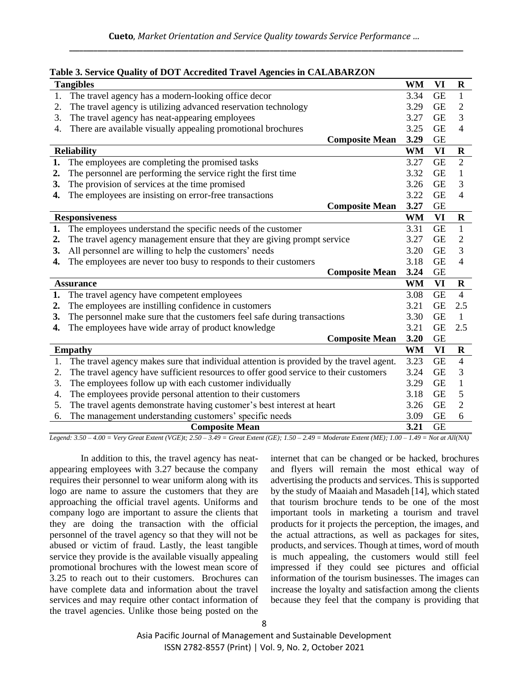|    | <b>Tangibles</b>                                                                        | WM        | VI        | $\mathbf R$    |
|----|-----------------------------------------------------------------------------------------|-----------|-----------|----------------|
| 1. | The travel agency has a modern-looking office decor                                     | 3.34      | <b>GE</b> | 1              |
| 2. | The travel agency is utilizing advanced reservation technology                          | 3.29      | <b>GE</b> | $\overline{2}$ |
| 3. | The travel agency has neat-appearing employees                                          | 3.27      | <b>GE</b> | 3              |
| 4. | There are available visually appealing promotional brochures                            | 3.25      | <b>GE</b> | $\overline{4}$ |
|    | <b>Composite Mean</b>                                                                   | 3.29      | <b>GE</b> |                |
|    | <b>Reliability</b>                                                                      | <b>WM</b> | VI        | $\bf R$        |
| 1. | The employees are completing the promised tasks                                         | 3.27      | <b>GE</b> | $\overline{2}$ |
| 2. | The personnel are performing the service right the first time                           | 3.32      | <b>GE</b> | 1              |
| 3. | The provision of services at the time promised                                          | 3.26      | <b>GE</b> | 3              |
| 4. | The employees are insisting on error-free transactions                                  | 3.22      | <b>GE</b> | $\overline{4}$ |
|    | <b>Composite Mean</b>                                                                   | 3.27      | <b>GE</b> |                |
|    | <b>Responsiveness</b>                                                                   | <b>WM</b> | VI        | $\bf R$        |
| 1. | The employees understand the specific needs of the customer                             | 3.31      | <b>GE</b> | $\mathbf{1}$   |
| 2. | The travel agency management ensure that they are giving prompt service                 | 3.27      | <b>GE</b> | $\overline{2}$ |
| 3. | All personnel are willing to help the customers' needs                                  | 3.20      | <b>GE</b> | 3              |
| 4. | The employees are never too busy to responds to their customers                         | 3.18      | <b>GE</b> | $\overline{4}$ |
|    | <b>Composite Mean</b>                                                                   | 3.24      | <b>GE</b> |                |
|    | <b>Assurance</b>                                                                        | <b>WM</b> | VI        | $\bf R$        |
| 1. | The travel agency have competent employees                                              | 3.08      | <b>GE</b> | $\overline{4}$ |
| 2. | The employees are instilling confidence in customers                                    | 3.21      | <b>GE</b> | 2.5            |
| 3. | The personnel make sure that the customers feel safe during transactions                | 3.30      | <b>GE</b> | $\mathbf{1}$   |
| 4. | The employees have wide array of product knowledge                                      | 3.21      | <b>GE</b> | 2.5            |
|    | <b>Composite Mean</b>                                                                   | 3.20      | <b>GE</b> |                |
|    | <b>Empathy</b>                                                                          | <b>WM</b> | VI        | $\bf R$        |
| 1. | The travel agency makes sure that individual attention is provided by the travel agent. | 3.23      | <b>GE</b> | $\overline{4}$ |
| 2. | The travel agency have sufficient resources to offer good service to their customers    | 3.24      | <b>GE</b> | 3              |
| 3. | The employees follow up with each customer individually                                 | 3.29      | <b>GE</b> | 1              |
| 4. | The employees provide personal attention to their customers                             | 3.18      | <b>GE</b> | 5              |
| 5. | The travel agents demonstrate having customer's best interest at heart                  | 3.26      | <b>GE</b> | $\overline{2}$ |
| 6. | The management understanding customers' specific needs                                  | 3.09      | <b>GE</b> | 6              |
|    | <b>Composite Mean</b>                                                                   | 3.21      | <b>GE</b> |                |

# **Table 3. Service Quality of DOT Accredited Travel Agencies in CALABARZON**

*Legend: 3.50 – 4.00 = Very Great Extent (VGE)t; 2.50 – 3.49 = Great Extent (GE); 1.50 – 2.49 = Moderate Extent (ME); 1.00 – 1.49 = Not at All(NA)*

In addition to this, the travel agency has neatappearing employees with 3.27 because the company requires their personnel to wear uniform along with its logo are name to assure the customers that they are approaching the official travel agents. Uniforms and company logo are important to assure the clients that they are doing the transaction with the official personnel of the travel agency so that they will not be abused or victim of fraud. Lastly, the least tangible service they provide is the available visually appealing promotional brochures with the lowest mean score of 3.25 to reach out to their customers. Brochures can have complete data and information about the travel services and may require other contact information of the travel agencies. Unlike those being posted on the

internet that can be changed or be hacked, brochures and flyers will remain the most ethical way of advertising the products and services. This is supported by the study of Maaiah and Masadeh [14], which stated that tourism brochure tends to be one of the most important tools in marketing a tourism and travel products for it projects the perception, the images, and the actual attractions, as well as packages for sites, products, and services. Though at times, word of mouth is much appealing, the customers would still feel impressed if they could see pictures and official information of the tourism businesses. The images can increase the loyalty and satisfaction among the clients because they feel that the company is providing that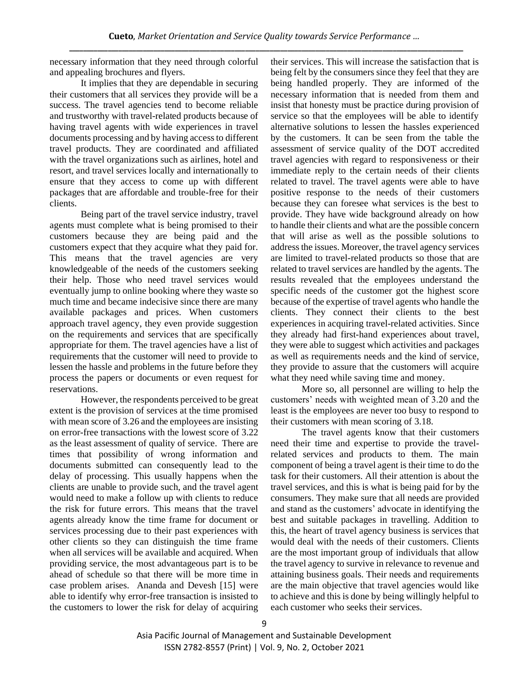necessary information that they need through colorful and appealing brochures and flyers.

It implies that they are dependable in securing their customers that all services they provide will be a success. The travel agencies tend to become reliable and trustworthy with travel-related products because of having travel agents with wide experiences in travel documents processing and by having access to different travel products. They are coordinated and affiliated with the travel organizations such as airlines, hotel and resort, and travel services locally and internationally to ensure that they access to come up with different packages that are affordable and trouble-free for their clients.

Being part of the travel service industry, travel agents must complete what is being promised to their customers because they are being paid and the customers expect that they acquire what they paid for. This means that the travel agencies are very knowledgeable of the needs of the customers seeking their help. Those who need travel services would eventually jump to online booking where they waste so much time and became indecisive since there are many available packages and prices. When customers approach travel agency, they even provide suggestion on the requirements and services that are specifically appropriate for them. The travel agencies have a list of requirements that the customer will need to provide to lessen the hassle and problems in the future before they process the papers or documents or even request for reservations.

However, the respondents perceived to be great extent is the provision of services at the time promised with mean score of 3.26 and the employees are insisting on error-free transactions with the lowest score of 3.22 as the least assessment of quality of service. There are times that possibility of wrong information and documents submitted can consequently lead to the delay of processing. This usually happens when the clients are unable to provide such, and the travel agent would need to make a follow up with clients to reduce the risk for future errors. This means that the travel agents already know the time frame for document or services processing due to their past experiences with other clients so they can distinguish the time frame when all services will be available and acquired. When providing service, the most advantageous part is to be ahead of schedule so that there will be more time in case problem arises. Ananda and Devesh [15] were able to identify why error-free transaction is insisted to the customers to lower the risk for delay of acquiring their services. This will increase the satisfaction that is being felt by the consumers since they feel that they are being handled properly. They are informed of the necessary information that is needed from them and insist that honesty must be practice during provision of service so that the employees will be able to identify alternative solutions to lessen the hassles experienced by the customers. It can be seen from the table the assessment of service quality of the DOT accredited travel agencies with regard to responsiveness or their immediate reply to the certain needs of their clients related to travel. The travel agents were able to have positive response to the needs of their customers because they can foresee what services is the best to provide. They have wide background already on how to handle their clients and what are the possible concern that will arise as well as the possible solutions to address the issues. Moreover, the travel agency services are limited to travel-related products so those that are related to travel services are handled by the agents. The results revealed that the employees understand the specific needs of the customer got the highest score because of the expertise of travel agents who handle the clients. They connect their clients to the best experiences in acquiring travel-related activities. Since they already had first-hand experiences about travel, they were able to suggest which activities and packages as well as requirements needs and the kind of service, they provide to assure that the customers will acquire what they need while saving time and money.

More so, all personnel are willing to help the customers' needs with weighted mean of 3.20 and the least is the employees are never too busy to respond to their customers with mean scoring of 3.18.

The travel agents know that their customers need their time and expertise to provide the travelrelated services and products to them. The main component of being a travel agent is their time to do the task for their customers. All their attention is about the travel services, and this is what is being paid for by the consumers. They make sure that all needs are provided and stand as the customers' advocate in identifying the best and suitable packages in travelling. Addition to this, the heart of travel agency business is services that would deal with the needs of their customers. Clients are the most important group of individuals that allow the travel agency to survive in relevance to revenue and attaining business goals. Their needs and requirements are the main objective that travel agencies would like to achieve and this is done by being willingly helpful to each customer who seeks their services.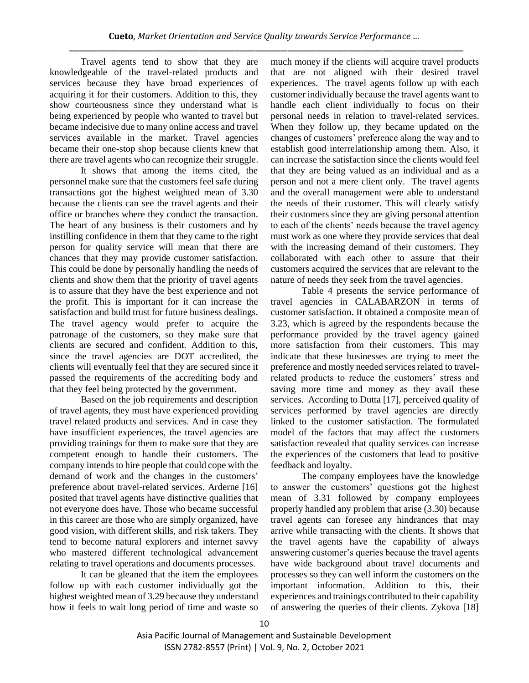Travel agents tend to show that they are knowledgeable of the travel-related products and services because they have broad experiences of acquiring it for their customers. Addition to this, they show courteousness since they understand what is being experienced by people who wanted to travel but became indecisive due to many online access and travel services available in the market. Travel agencies became their one-stop shop because clients knew that there are travel agents who can recognize their struggle.

It shows that among the items cited, the personnel make sure that the customers feel safe during transactions got the highest weighted mean of 3.30 because the clients can see the travel agents and their office or branches where they conduct the transaction. The heart of any business is their customers and by instilling confidence in them that they came to the right person for quality service will mean that there are chances that they may provide customer satisfaction. This could be done by personally handling the needs of clients and show them that the priority of travel agents is to assure that they have the best experience and not the profit. This is important for it can increase the satisfaction and build trust for future business dealings. The travel agency would prefer to acquire the patronage of the customers, so they make sure that clients are secured and confident. Addition to this, since the travel agencies are DOT accredited, the clients will eventually feel that they are secured since it passed the requirements of the accrediting body and that they feel being protected by the government.

Based on the job requirements and description of travel agents, they must have experienced providing travel related products and services. And in case they have insufficient experiences, the travel agencies are providing trainings for them to make sure that they are competent enough to handle their customers. The company intends to hire people that could cope with the demand of work and the changes in the customers' preference about travel-related services. Arderne [16] posited that travel agents have distinctive qualities that not everyone does have. Those who became successful in this career are those who are simply organized, have good vision, with different skills, and risk takers. They tend to become natural explorers and internet savvy who mastered different technological advancement relating to travel operations and documents processes.

It can be gleaned that the item the employees follow up with each customer individually got the highest weighted mean of 3.29 because they understand how it feels to wait long period of time and waste so much money if the clients will acquire travel products that are not aligned with their desired travel experiences. The travel agents follow up with each customer individually because the travel agents want to handle each client individually to focus on their personal needs in relation to travel-related services. When they follow up, they became updated on the changes of customers' preference along the way and to establish good interrelationship among them. Also, it can increase the satisfaction since the clients would feel that they are being valued as an individual and as a person and not a mere client only. The travel agents and the overall management were able to understand the needs of their customer. This will clearly satisfy their customers since they are giving personal attention to each of the clients' needs because the travel agency must work as one where they provide services that deal with the increasing demand of their customers. They collaborated with each other to assure that their customers acquired the services that are relevant to the nature of needs they seek from the travel agencies.

Table 4 presents the service performance of travel agencies in CALABARZON in terms of customer satisfaction. It obtained a composite mean of 3.23, which is agreed by the respondents because the performance provided by the travel agency gained more satisfaction from their customers. This may indicate that these businesses are trying to meet the preference and mostly needed services related to travelrelated products to reduce the customers' stress and saving more time and money as they avail these services. According to Dutta [17], perceived quality of services performed by travel agencies are directly linked to the customer satisfaction. The formulated model of the factors that may affect the customers satisfaction revealed that quality services can increase the experiences of the customers that lead to positive feedback and loyalty.

The company employees have the knowledge to answer the customers' questions got the highest mean of 3.31 followed by company employees properly handled any problem that arise (3.30) because travel agents can foresee any hindrances that may arrive while transacting with the clients. It shows that the travel agents have the capability of always answering customer's queries because the travel agents have wide background about travel documents and processes so they can well inform the customers on the important information. Addition to this, their experiences and trainings contributed to their capability of answering the queries of their clients. Zykova [18]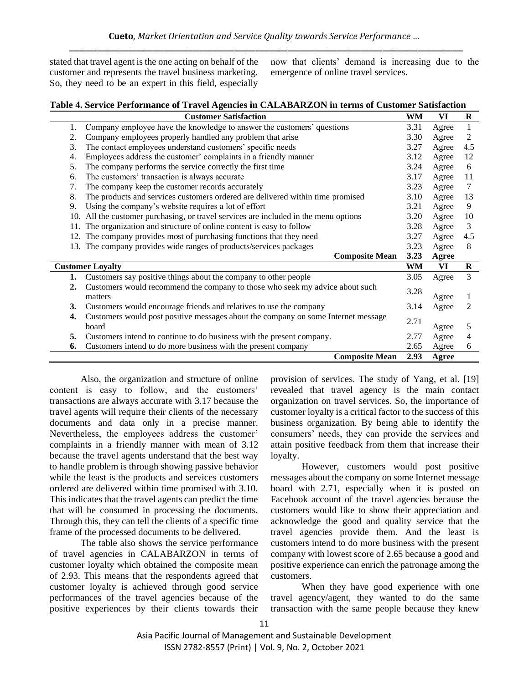stated that travel agent is the one acting on behalf of the customer and represents the travel business marketing. So, they need to be an expert in this field, especially now that clients' demand is increasing due to the emergence of online travel services.

| Table 4. Service Performance of Travel Agencies in CALABARZON in terms of Customer Satisfaction |  |  |
|-------------------------------------------------------------------------------------------------|--|--|
|                                                                                                 |  |  |

|     | <b>Customer Satisfaction</b>                                                      | WM   | VI           | $\bf R$ |  |  |  |
|-----|-----------------------------------------------------------------------------------|------|--------------|---------|--|--|--|
| 1.  | Company employee have the knowledge to answer the customers' questions            | 3.31 | Agree        | 1       |  |  |  |
| 2.  | Company employees properly handled any problem that arise                         | 3.30 | Agree        | 2       |  |  |  |
| 3.  | The contact employees understand customers' specific needs                        | 3.27 | Agree        | 4.5     |  |  |  |
| 4.  | Employees address the customer' complaints in a friendly manner                   | 3.12 | Agree        | 12      |  |  |  |
| 5.  | The company performs the service correctly the first time                         | 3.24 | Agree        | 6       |  |  |  |
| 6.  | The customers' transaction is always accurate                                     | 3.17 | Agree        | 11      |  |  |  |
| 7.  | The company keep the customer records accurately                                  | 3.23 | Agree        | 7       |  |  |  |
| 8.  | The products and services customers ordered are delivered within time promised    | 3.10 | Agree        | 13      |  |  |  |
| 9.  | Using the company's website requires a lot of effort                              | 3.21 | Agree        | 9       |  |  |  |
| 10. | All the customer purchasing, or travel services are included in the menu options  | 3.20 | Agree        | 10      |  |  |  |
| 11. | The organization and structure of online content is easy to follow                | 3.28 | Agree        | 3       |  |  |  |
| 12. | The company provides most of purchasing functions that they need                  | 3.27 | Agree        | 4.5     |  |  |  |
|     | 13. The company provides wide ranges of products/services packages                |      |              |         |  |  |  |
|     | <b>Composite Mean</b>                                                             | 3.23 | Agree        |         |  |  |  |
|     | <b>Customer Loyalty</b>                                                           | WM   | VI           | R       |  |  |  |
| 1.  | Customers say positive things about the company to other people                   | 3.05 | Agree        | 3       |  |  |  |
| 2.  | Customers would recommend the company to those who seek my advice about such      | 3.28 |              |         |  |  |  |
|     | matters                                                                           |      | Agree        |         |  |  |  |
| 3.  | Customers would encourage friends and relatives to use the company                | 3.14 | Agree        | 2       |  |  |  |
| 4.  | Customers would post positive messages about the company on some Internet message |      |              |         |  |  |  |
|     | board                                                                             | 2.71 | Agree        | 5       |  |  |  |
| 5.  | Customers intend to continue to do business with the present company.             | 2.77 | Agree        | 4       |  |  |  |
| 6.  | Customers intend to do more business with the present company                     | 2.65 | Agree        | 6       |  |  |  |
|     | <b>Composite Mean</b>                                                             | 2.93 | <b>Agree</b> |         |  |  |  |

Also, the organization and structure of online content is easy to follow, and the customers' transactions are always accurate with 3.17 because the travel agents will require their clients of the necessary documents and data only in a precise manner. Nevertheless, the employees address the customer' complaints in a friendly manner with mean of 3.12 because the travel agents understand that the best way to handle problem is through showing passive behavior while the least is the products and services customers ordered are delivered within time promised with 3.10. This indicates that the travel agents can predict the time that will be consumed in processing the documents. Through this, they can tell the clients of a specific time frame of the processed documents to be delivered.

The table also shows the service performance of travel agencies in CALABARZON in terms of customer loyalty which obtained the composite mean of 2.93. This means that the respondents agreed that customer loyalty is achieved through good service performances of the travel agencies because of the positive experiences by their clients towards their provision of services. The study of Yang, et al. [19] revealed that travel agency is the main contact organization on travel services. So, the importance of customer loyalty is a critical factor to the success of this business organization. By being able to identify the consumers' needs, they can provide the services and attain positive feedback from them that increase their loyalty.

However, customers would post positive messages about the company on some Internet message board with 2.71, especially when it is posted on Facebook account of the travel agencies because the customers would like to show their appreciation and acknowledge the good and quality service that the travel agencies provide them. And the least is customers intend to do more business with the present company with lowest score of 2.65 because a good and positive experience can enrich the patronage among the customers.

When they have good experience with one travel agency/agent, they wanted to do the same transaction with the same people because they knew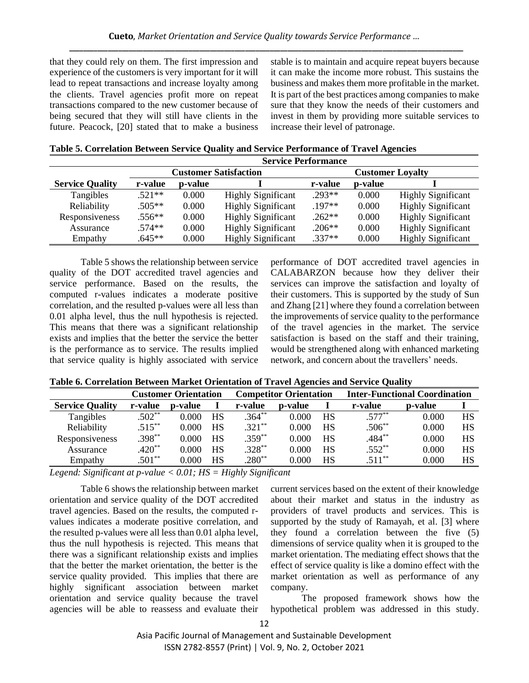that they could rely on them. The first impression and experience of the customers is very important for it will lead to repeat transactions and increase loyalty among the clients. Travel agencies profit more on repeat transactions compared to the new customer because of being secured that they will still have clients in the future. Peacock, [20] stated that to make a business stable is to maintain and acquire repeat buyers because it can make the income more robust. This sustains the business and makes them more profitable in the market. It is part of the best practices among companies to make sure that they know the needs of their customers and invest in them by providing more suitable services to increase their level of patronage.

|                        | <b>Service Performance</b> |         |                              |          |                         |                           |  |  |
|------------------------|----------------------------|---------|------------------------------|----------|-------------------------|---------------------------|--|--|
|                        |                            |         | <b>Customer Satisfaction</b> |          | <b>Customer Loyalty</b> |                           |  |  |
| <b>Service Quality</b> | r-value                    | p-value |                              | r-value  | <b>p</b> -value         |                           |  |  |
| Tangibles              | $.521**$                   | 0.000   | <b>Highly Significant</b>    | $.293**$ | 0.000                   | <b>Highly Significant</b> |  |  |
| Reliability            | $.505**$                   | 0.000   | <b>Highly Significant</b>    | $.197**$ | 0.000                   | <b>Highly Significant</b> |  |  |
| Responsiveness         | $.556**$                   | 0.000   | <b>Highly Significant</b>    | $.262**$ | 0.000                   | <b>Highly Significant</b> |  |  |
| Assurance              | $.574**$                   | 0.000   | <b>Highly Significant</b>    | $.206**$ | 0.000                   | <b>Highly Significant</b> |  |  |
| Empathy                | $.645**$                   | 0.000   | <b>Highly Significant</b>    | $.337**$ | 0.000                   | <b>Highly Significant</b> |  |  |

Table 5 shows the relationship between service quality of the DOT accredited travel agencies and service performance. Based on the results, the computed r-values indicates a moderate positive correlation, and the resulted p-values were all less than 0.01 alpha level, thus the null hypothesis is rejected. This means that there was a significant relationship exists and implies that the better the service the better is the performance as to service. The results implied that service quality is highly associated with service performance of DOT accredited travel agencies in CALABARZON because how they deliver their services can improve the satisfaction and loyalty of their customers. This is supported by the study of Sun and Zhang [21] where they found a correlation between the improvements of service quality to the performance of the travel agencies in the market. The service satisfaction is based on the staff and their training, would be strengthened along with enhanced marketing network, and concern about the travellers' needs.

|  |  |  | Table 6. Correlation Between Market Orientation of Travel Agencies and Service Quality |  |
|--|--|--|----------------------------------------------------------------------------------------|--|
|  |  |  |                                                                                        |  |

|                        |           | <b>Customer Orientation</b> |           | <b>Competitor Orientation</b> |                 |           | <b>Inter-Functional Coordination</b> |         |    |
|------------------------|-----------|-----------------------------|-----------|-------------------------------|-----------------|-----------|--------------------------------------|---------|----|
| <b>Service Quality</b> | r-value   | p-value                     |           | r-value                       | <b>p</b> -value |           | r-value                              | p-value |    |
| Tangibles              | $.502**$  | 0.000                       | HS        | $.364**$                      | 0.000           | <b>HS</b> | $.577***$                            | 0.000   | HS |
| Reliability            | $.515***$ | 0.000                       | <b>HS</b> | $.321***$                     | 0.000           | <b>HS</b> | $.506**$                             | 0.000   | HS |
| Responsiveness         | $.398***$ | 0.000                       | <b>HS</b> | $.359***$                     | 0.000           | <b>HS</b> | $.484***$                            | 0.000   | HS |
| Assurance              | $.420**$  | 0.000                       | <b>HS</b> | $.328***$                     | 0.000           | <b>HS</b> | $.552**$                             | 0.000   | HS |
| Empathy                | $.501**$  | 0.000                       | <b>HS</b> | $.280**$                      | 0.000           | HS        | $.511***$                            | 0.000   | HS |

*Legend: Significant at p-value < 0.01; HS = Highly Significant*

Table 6 shows the relationship between market orientation and service quality of the DOT accredited travel agencies. Based on the results, the computed rvalues indicates a moderate positive correlation, and the resulted p-values were all less than 0.01 alpha level, thus the null hypothesis is rejected. This means that there was a significant relationship exists and implies that the better the market orientation, the better is the service quality provided. This implies that there are highly significant association between market orientation and service quality because the travel agencies will be able to reassess and evaluate their

current services based on the extent of their knowledge about their market and status in the industry as providers of travel products and services. This is supported by the study of Ramayah, et al. [3] where they found a correlation between the five (5) dimensions of service quality when it is grouped to the market orientation. The mediating effect shows that the effect of service quality is like a domino effect with the market orientation as well as performance of any company.

The proposed framework shows how the hypothetical problem was addressed in this study.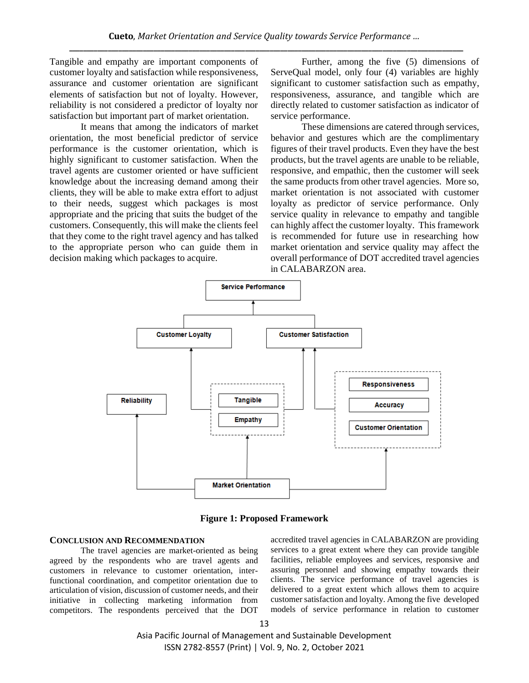Tangible and empathy are important components of customer loyalty and satisfaction while responsiveness, assurance and customer orientation are significant elements of satisfaction but not of loyalty. However, reliability is not considered a predictor of loyalty nor satisfaction but important part of market orientation.

It means that among the indicators of market orientation, the most beneficial predictor of service performance is the customer orientation, which is highly significant to customer satisfaction. When the travel agents are customer oriented or have sufficient knowledge about the increasing demand among their clients, they will be able to make extra effort to adjust to their needs, suggest which packages is most appropriate and the pricing that suits the budget of the customers. Consequently, this will make the clients feel that they come to the right travel agency and has talked to the appropriate person who can guide them in decision making which packages to acquire.

Further, among the five (5) dimensions of ServeQual model, only four (4) variables are highly significant to customer satisfaction such as empathy, responsiveness, assurance, and tangible which are directly related to customer satisfaction as indicator of service performance.

These dimensions are catered through services, behavior and gestures which are the complimentary figures of their travel products. Even they have the best products, but the travel agents are unable to be reliable, responsive, and empathic, then the customer will seek the same products from other travel agencies. More so, market orientation is not associated with customer loyalty as predictor of service performance. Only service quality in relevance to empathy and tangible can highly affect the customer loyalty. This framework is recommended for future use in researching how market orientation and service quality may affect the overall performance of DOT accredited travel agencies in CALABARZON area.



**Figure 1: Proposed Framework**

#### **CONCLUSION AND RECOMMENDATION**

The travel agencies are market-oriented as being agreed by the respondents who are travel agents and customers in relevance to customer orientation, interfunctional coordination, and competitor orientation due to articulation of vision, discussion of customer needs, and their initiative in collecting marketing information from competitors. The respondents perceived that the DOT accredited travel agencies in CALABARZON are providing services to a great extent where they can provide tangible facilities, reliable employees and services, responsive and assuring personnel and showing empathy towards their clients. The service performance of travel agencies is delivered to a great extent which allows them to acquire customer satisfaction and loyalty. Among the five developed models of service performance in relation to customer